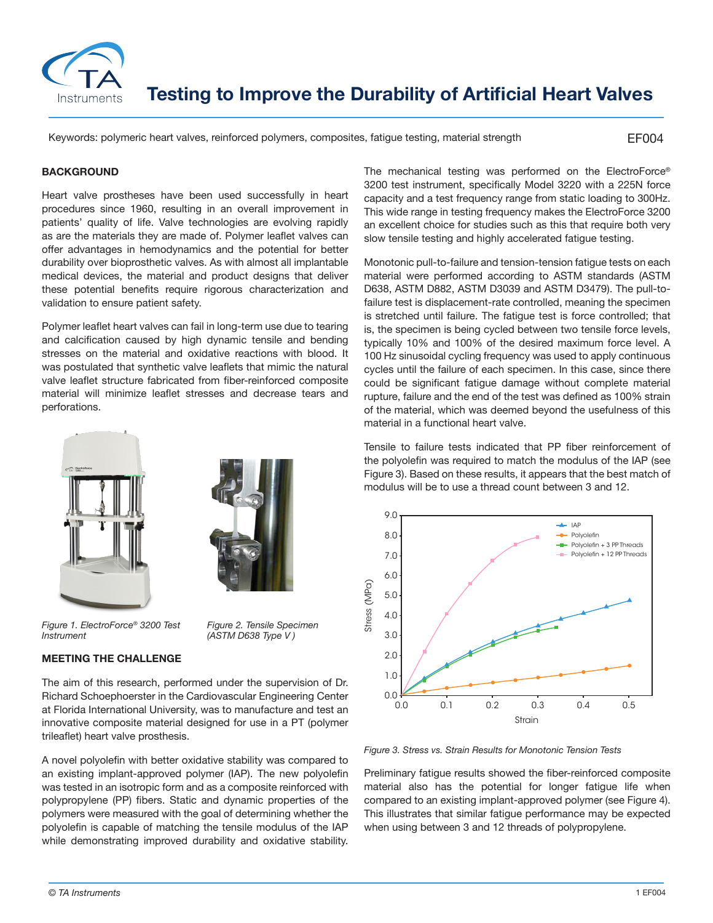

**Testing to Improve the Durability of Artificial Heart Valves**

Keywords: polymeric heart valves, reinforced polymers, composites, fatigue testing, material strength

EF004

## **BACKGROUND**

Heart valve prostheses have been used successfully in heart procedures since 1960, resulting in an overall improvement in patients' quality of life. Valve technologies are evolving rapidly as are the materials they are made of. Polymer leaflet valves can offer advantages in hemodynamics and the potential for better durability over bioprosthetic valves. As with almost all implantable medical devices, the material and product designs that deliver these potential benefits require rigorous characterization and validation to ensure patient safety.

Polymer leaflet heart valves can fail in long-term use due to tearing and calcification caused by high dynamic tensile and bending stresses on the material and oxidative reactions with blood. It was postulated that synthetic valve leaflets that mimic the natural valve leaflet structure fabricated from fiber-reinforced composite material will minimize leaflet stresses and decrease tears and perforations.





*Figure 1. ElectroForce® 3200 Test Instrument*

*Figure 2. Tensile Specimen (ASTM D638 Type V )*

## **MEETING THE CHALLENGE**

The aim of this research, performed under the supervision of Dr. Richard Schoephoerster in the Cardiovascular Engineering Center at Florida International University, was to manufacture and test an innovative composite material designed for use in a PT (polymer trileaflet) heart valve prosthesis.

A novel polyolefin with better oxidative stability was compared to an existing implant-approved polymer (IAP). The new polyolefin was tested in an isotropic form and as a composite reinforced with polypropylene (PP) fibers. Static and dynamic properties of the polymers were measured with the goal of determining whether the polyolefin is capable of matching the tensile modulus of the IAP while demonstrating improved durability and oxidative stability.

The mechanical testing was performed on the ElectroForce® 3200 test instrument, specifically Model 3220 with a 225N force capacity and a test frequency range from static loading to 300Hz. This wide range in testing frequency makes the ElectroForce 3200 an excellent choice for studies such as this that require both very slow tensile testing and highly accelerated fatigue testing.

Monotonic pull-to-failure and tension-tension fatigue tests on each material were performed according to ASTM standards (ASTM D638, ASTM D882, ASTM D3039 and ASTM D3479). The pull-tofailure test is displacement-rate controlled, meaning the specimen is stretched until failure. The fatigue test is force controlled; that is, the specimen is being cycled between two tensile force levels, typically 10% and 100% of the desired maximum force level. A 100 Hz sinusoidal cycling frequency was used to apply continuous cycles until the failure of each specimen. In this case, since there could be significant fatigue damage without complete material rupture, failure and the end of the test was defined as 100% strain of the material, which was deemed beyond the usefulness of this material in a functional heart valve.

Tensile to failure tests indicated that PP fiber reinforcement of the polyolefin was required to match the modulus of the IAP (see Figure 3). Based on these results, it appears that the best match of modulus will be to use a thread count between 3 and 12.



*Figure 3. Stress vs. Strain Results for Monotonic Tension Tests*

Preliminary fatigue results showed the fiber-reinforced composite material also has the potential for longer fatigue life when compared to an existing implant-approved polymer (see Figure 4). This illustrates that similar fatigue performance may be expected when using between 3 and 12 threads of polypropylene.